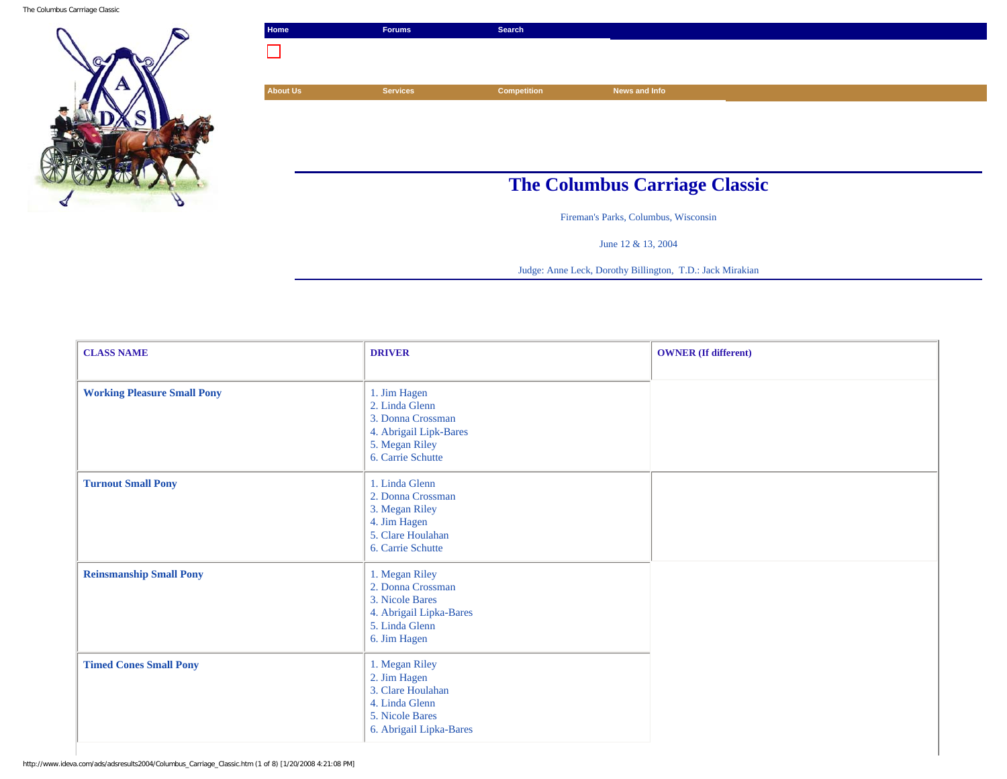The Columbus Carrriage Classic



| Home                                 | <b>Forums</b>   | Search             |               |  |
|--------------------------------------|-----------------|--------------------|---------------|--|
|                                      |                 |                    |               |  |
|                                      |                 |                    |               |  |
| <b>About Us</b>                      | <b>Services</b> | <b>Competition</b> | News and Info |  |
|                                      |                 |                    |               |  |
|                                      |                 |                    |               |  |
|                                      |                 |                    |               |  |
|                                      |                 |                    |               |  |
| <b>The Columbus Carriage Classic</b> |                 |                    |               |  |
|                                      |                 |                    |               |  |

Fireman's Parks, Columbus, Wisconsin

June 12 & 13, 2004

Judge: Anne Leck, Dorothy Billington, T.D.: Jack Mirakian

| <b>CLASS NAME</b>                  | <b>DRIVER</b>                                                                                                        | <b>OWNER</b> (If different) |
|------------------------------------|----------------------------------------------------------------------------------------------------------------------|-----------------------------|
| <b>Working Pleasure Small Pony</b> | 1. Jim Hagen<br>2. Linda Glenn<br>3. Donna Crossman<br>4. Abrigail Lipk-Bares<br>5. Megan Riley<br>6. Carrie Schutte |                             |
| <b>Turnout Small Pony</b>          | 1. Linda Glenn<br>2. Donna Crossman<br>3. Megan Riley<br>4. Jim Hagen<br>5. Clare Houlahan<br>6. Carrie Schutte      |                             |
| <b>Reinsmanship Small Pony</b>     | 1. Megan Riley<br>2. Donna Crossman<br>3. Nicole Bares<br>4. Abrigail Lipka-Bares<br>5. Linda Glenn<br>6. Jim Hagen  |                             |
| <b>Timed Cones Small Pony</b>      | 1. Megan Riley<br>2. Jim Hagen<br>3. Clare Houlahan<br>4. Linda Glenn<br>5. Nicole Bares<br>6. Abrigail Lipka-Bares  |                             |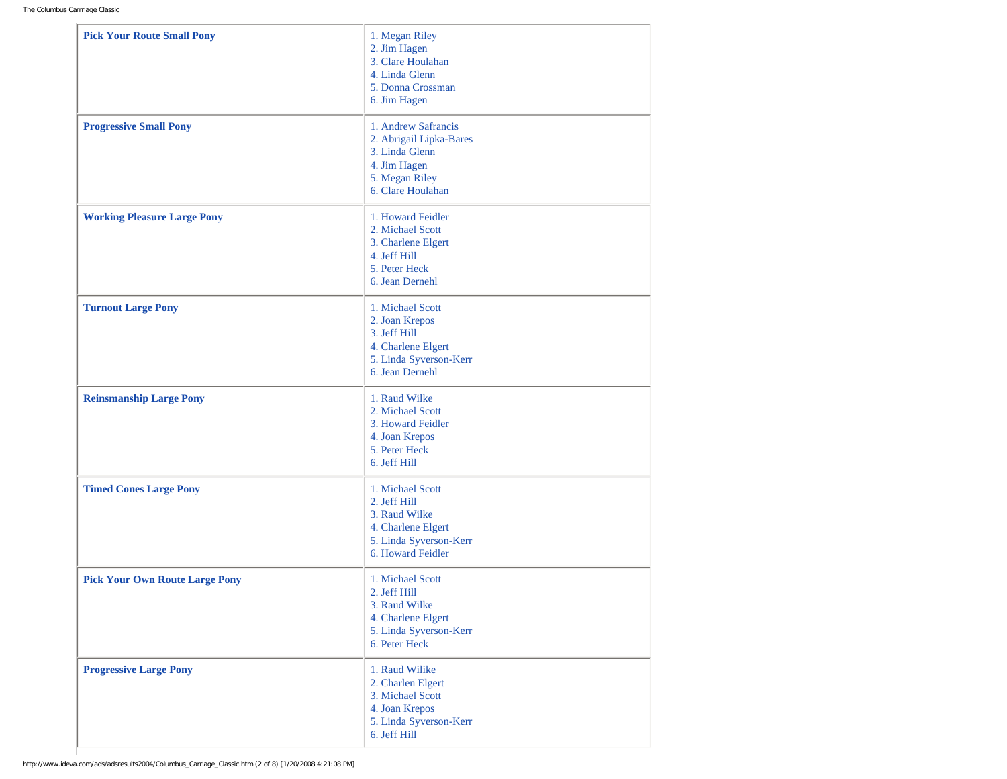| <b>Pick Your Route Small Pony</b>     | 1. Megan Riley<br>2. Jim Hagen<br>3. Clare Houlahan<br>4. Linda Glenn<br>5. Donna Crossman<br>6. Jim Hagen              |
|---------------------------------------|-------------------------------------------------------------------------------------------------------------------------|
| <b>Progressive Small Pony</b>         | 1. Andrew Safrancis<br>2. Abrigail Lipka-Bares<br>3. Linda Glenn<br>4. Jim Hagen<br>5. Megan Riley<br>6. Clare Houlahan |
| <b>Working Pleasure Large Pony</b>    | 1. Howard Feidler<br>2. Michael Scott<br>3. Charlene Elgert<br>4. Jeff Hill<br>5. Peter Heck<br>6. Jean Dernehl         |
| <b>Turnout Large Pony</b>             | 1. Michael Scott<br>2. Joan Krepos<br>3. Jeff Hill<br>4. Charlene Elgert<br>5. Linda Syverson-Kerr<br>6. Jean Dernehl   |
| <b>Reinsmanship Large Pony</b>        | 1. Raud Wilke<br>2. Michael Scott<br>3. Howard Feidler<br>4. Joan Krepos<br>5. Peter Heck<br>6. Jeff Hill               |
| <b>Timed Cones Large Pony</b>         | 1. Michael Scott<br>2. Jeff Hill<br>3. Raud Wilke<br>4. Charlene Elgert<br>5. Linda Syverson-Kerr<br>6. Howard Feidler  |
| <b>Pick Your Own Route Large Pony</b> | 1. Michael Scott<br>2. Jeff Hill<br>3. Raud Wilke<br>4. Charlene Elgert<br>5. Linda Syverson-Kerr<br>6. Peter Heck      |
| <b>Progressive Large Pony</b>         | 1. Raud Wilike<br>2. Charlen Elgert<br>3. Michael Scott<br>4. Joan Krepos<br>5. Linda Syverson-Kerr<br>6. Jeff Hill     |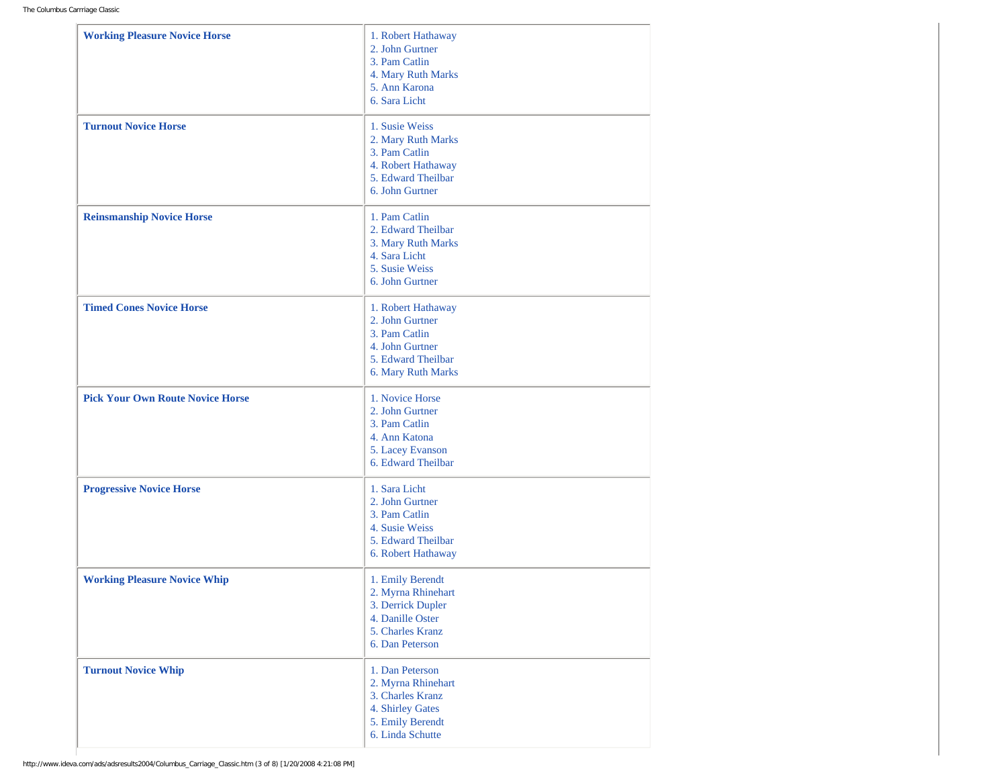| <b>Working Pleasure Novice Horse</b>    | 1. Robert Hathaway<br>2. John Gurtner<br>3. Pam Catlin<br>4. Mary Ruth Marks<br>5. Ann Karona<br>6. Sara Licht         |
|-----------------------------------------|------------------------------------------------------------------------------------------------------------------------|
| <b>Turnout Novice Horse</b>             | 1. Susie Weiss<br>2. Mary Ruth Marks<br>3. Pam Catlin<br>4. Robert Hathaway<br>5. Edward Theilbar<br>6. John Gurtner   |
| <b>Reinsmanship Novice Horse</b>        | 1. Pam Catlin<br>2. Edward Theilbar<br>3. Mary Ruth Marks<br>4. Sara Licht<br>5. Susie Weiss<br>6. John Gurtner        |
| <b>Timed Cones Novice Horse</b>         | 1. Robert Hathaway<br>2. John Gurtner<br>3. Pam Catlin<br>4. John Gurtner<br>5. Edward Theilbar<br>6. Mary Ruth Marks  |
| <b>Pick Your Own Route Novice Horse</b> | 1. Novice Horse<br>2. John Gurtner<br>3. Pam Catlin<br>4. Ann Katona<br>5. Lacey Evanson<br>6. Edward Theilbar         |
| <b>Progressive Novice Horse</b>         | 1. Sara Licht<br>2. John Gurtner<br>3. Pam Catlin<br>4. Susie Weiss<br>5. Edward Theilbar<br>6. Robert Hathaway        |
| <b>Working Pleasure Novice Whip</b>     | 1. Emily Berendt<br>2. Myrna Rhinehart<br>3. Derrick Dupler<br>4. Danille Oster<br>5. Charles Kranz<br>6. Dan Peterson |
| <b>Turnout Novice Whip</b>              | 1. Dan Peterson<br>2. Myrna Rhinehart<br>3. Charles Kranz<br>4. Shirley Gates<br>5. Emily Berendt<br>6. Linda Schutte  |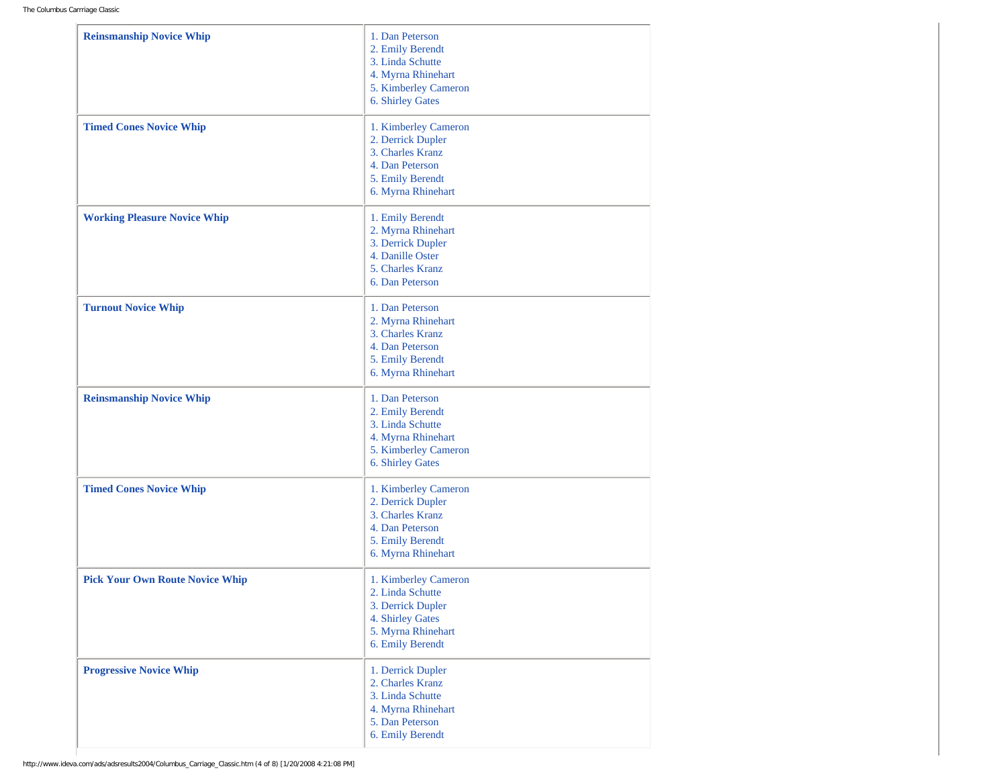| <b>Reinsmanship Novice Whip</b>        | 1. Dan Peterson<br>2. Emily Berendt<br>3. Linda Schutte<br>4. Myrna Rhinehart<br>5. Kimberley Cameron<br>6. Shirley Gates   |
|----------------------------------------|-----------------------------------------------------------------------------------------------------------------------------|
| <b>Timed Cones Novice Whip</b>         | 1. Kimberley Cameron<br>2. Derrick Dupler<br>3. Charles Kranz<br>4. Dan Peterson<br>5. Emily Berendt<br>6. Myrna Rhinehart  |
| <b>Working Pleasure Novice Whip</b>    | 1. Emily Berendt<br>2. Myrna Rhinehart<br>3. Derrick Dupler<br>4. Danille Oster<br>5. Charles Kranz<br>6. Dan Peterson      |
| <b>Turnout Novice Whip</b>             | 1. Dan Peterson<br>2. Myrna Rhinehart<br>3. Charles Kranz<br>4. Dan Peterson<br>5. Emily Berendt<br>6. Myrna Rhinehart      |
| <b>Reinsmanship Novice Whip</b>        | 1. Dan Peterson<br>2. Emily Berendt<br>3. Linda Schutte<br>4. Myrna Rhinehart<br>5. Kimberley Cameron<br>6. Shirley Gates   |
| <b>Timed Cones Novice Whip</b>         | 1. Kimberley Cameron<br>2. Derrick Dupler<br>3. Charles Kranz<br>4. Dan Peterson<br>5. Emily Berendt<br>6. Myrna Rhinehart  |
| <b>Pick Your Own Route Novice Whip</b> | 1. Kimberley Cameron<br>2. Linda Schutte<br>3. Derrick Dupler<br>4. Shirley Gates<br>5. Myrna Rhinehart<br>6. Emily Berendt |
| <b>Progressive Novice Whip</b>         | 1. Derrick Dupler<br>2. Charles Kranz<br>3. Linda Schutte<br>4. Myrna Rhinehart<br>5. Dan Peterson<br>6. Emily Berendt      |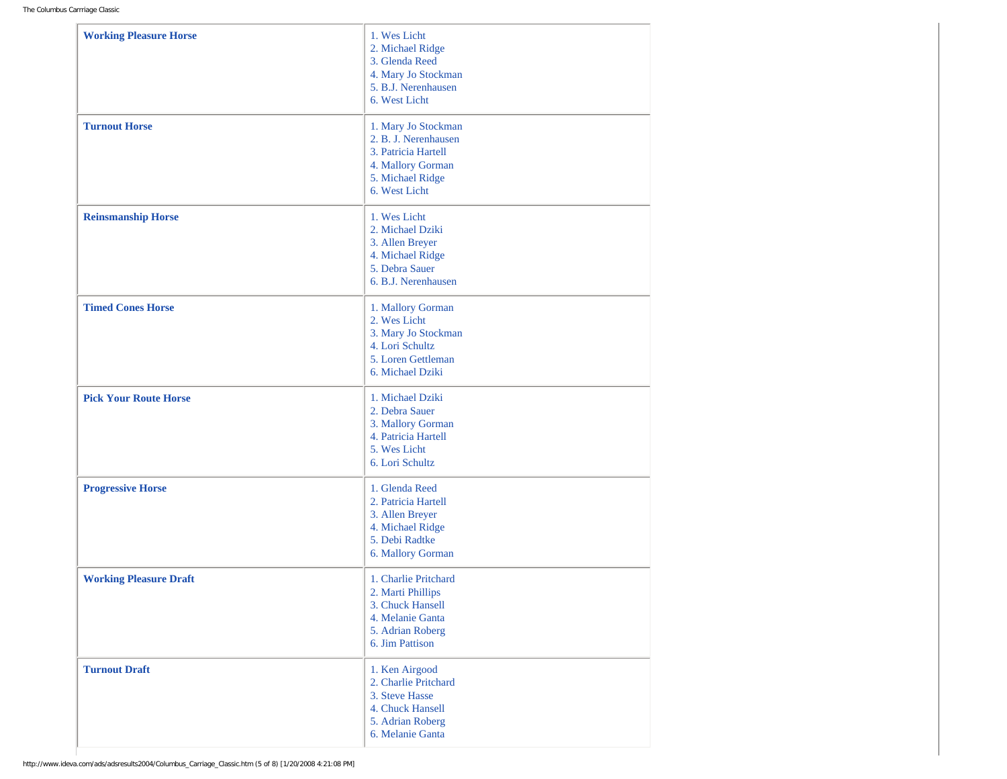| <b>Working Pleasure Horse</b> | 1. Wes Licht<br>2. Michael Ridge<br>3. Glenda Reed<br>4. Mary Jo Stockman<br>5. B.J. Nerenhausen<br>6. West Licht            |
|-------------------------------|------------------------------------------------------------------------------------------------------------------------------|
| <b>Turnout Horse</b>          | 1. Mary Jo Stockman<br>2. B. J. Nerenhausen<br>3. Patricia Hartell<br>4. Mallory Gorman<br>5. Michael Ridge<br>6. West Licht |
| <b>Reinsmanship Horse</b>     | 1. Wes Licht<br>2. Michael Dziki<br>3. Allen Breyer<br>4. Michael Ridge<br>5. Debra Sauer<br>6. B.J. Nerenhausen             |
| <b>Timed Cones Horse</b>      | 1. Mallory Gorman<br>2. Wes Licht<br>3. Mary Jo Stockman<br>4. Lori Schultz<br>5. Loren Gettleman<br>6. Michael Dziki        |
| <b>Pick Your Route Horse</b>  | 1. Michael Dziki<br>2. Debra Sauer<br>3. Mallory Gorman<br>4. Patricia Hartell<br>5. Wes Licht<br>6. Lori Schultz            |
| <b>Progressive Horse</b>      | 1. Glenda Reed<br>2. Patricia Hartell<br>3. Allen Breyer<br>4. Michael Ridge<br>5. Debi Radtke<br>6. Mallory Gorman          |
| <b>Working Pleasure Draft</b> | 1. Charlie Pritchard<br>2. Marti Phillips<br>3. Chuck Hansell<br>4. Melanie Ganta<br>5. Adrian Roberg<br>6. Jim Pattison     |
| <b>Turnout Draft</b>          | 1. Ken Airgood<br>2. Charlie Pritchard<br>3. Steve Hasse<br>4. Chuck Hansell<br>5. Adrian Roberg<br>6. Melanie Ganta         |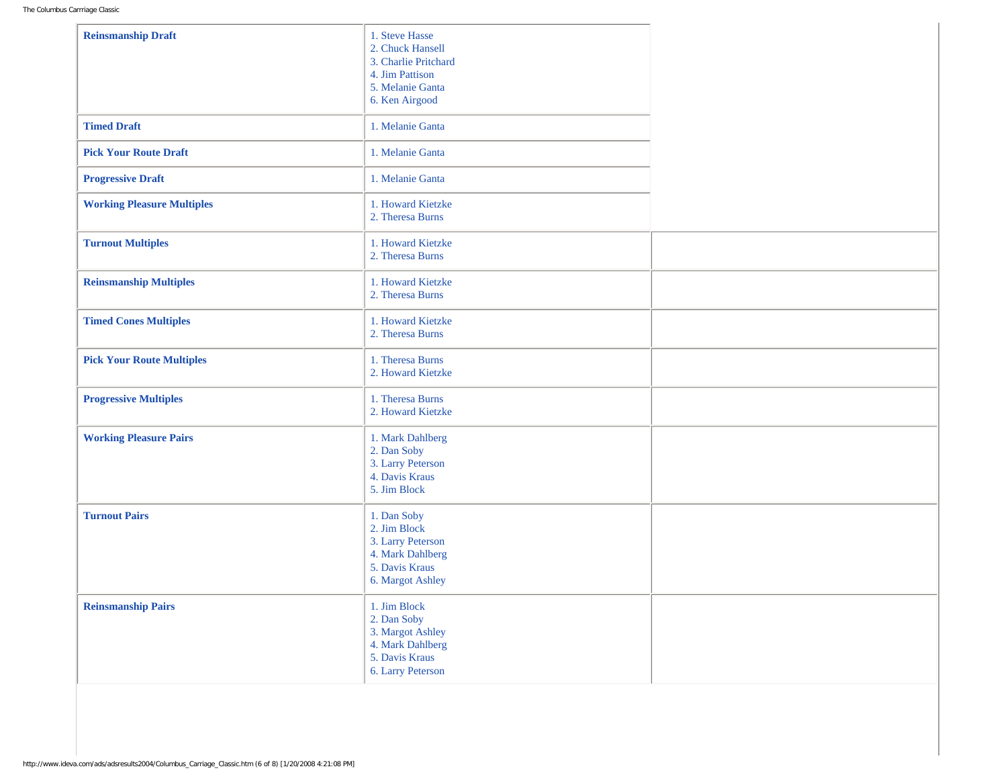| <b>Reinsmanship Draft</b>         | 1. Steve Hasse<br>2. Chuck Hansell<br>3. Charlie Pritchard<br>4. Jim Pattison<br>5. Melanie Ganta<br>6. Ken Airgood |  |
|-----------------------------------|---------------------------------------------------------------------------------------------------------------------|--|
| <b>Timed Draft</b>                | 1. Melanie Ganta                                                                                                    |  |
| <b>Pick Your Route Draft</b>      | 1. Melanie Ganta                                                                                                    |  |
| <b>Progressive Draft</b>          | 1. Melanie Ganta                                                                                                    |  |
| <b>Working Pleasure Multiples</b> | 1. Howard Kietzke<br>2. Theresa Burns                                                                               |  |
| <b>Turnout Multiples</b>          | 1. Howard Kietzke<br>2. Theresa Burns                                                                               |  |
| <b>Reinsmanship Multiples</b>     | 1. Howard Kietzke<br>2. Theresa Burns                                                                               |  |
| <b>Timed Cones Multiples</b>      | 1. Howard Kietzke<br>2. Theresa Burns                                                                               |  |
| <b>Pick Your Route Multiples</b>  | 1. Theresa Burns<br>2. Howard Kietzke                                                                               |  |
| <b>Progressive Multiples</b>      | 1. Theresa Burns<br>2. Howard Kietzke                                                                               |  |
| <b>Working Pleasure Pairs</b>     | 1. Mark Dahlberg<br>2. Dan Soby<br>3. Larry Peterson<br>4. Davis Kraus<br>5. Jim Block                              |  |
| <b>Turnout Pairs</b>              | 1. Dan Soby<br>2. Jim Block<br>3. Larry Peterson<br>4. Mark Dahlberg<br>5. Davis Kraus<br>6. Margot Ashley          |  |
| <b>Reinsmanship Pairs</b>         | 1. Jim Block<br>2. Dan Soby<br>3. Margot Ashley<br>4. Mark Dahlberg<br>5. Davis Kraus<br>6. Larry Peterson          |  |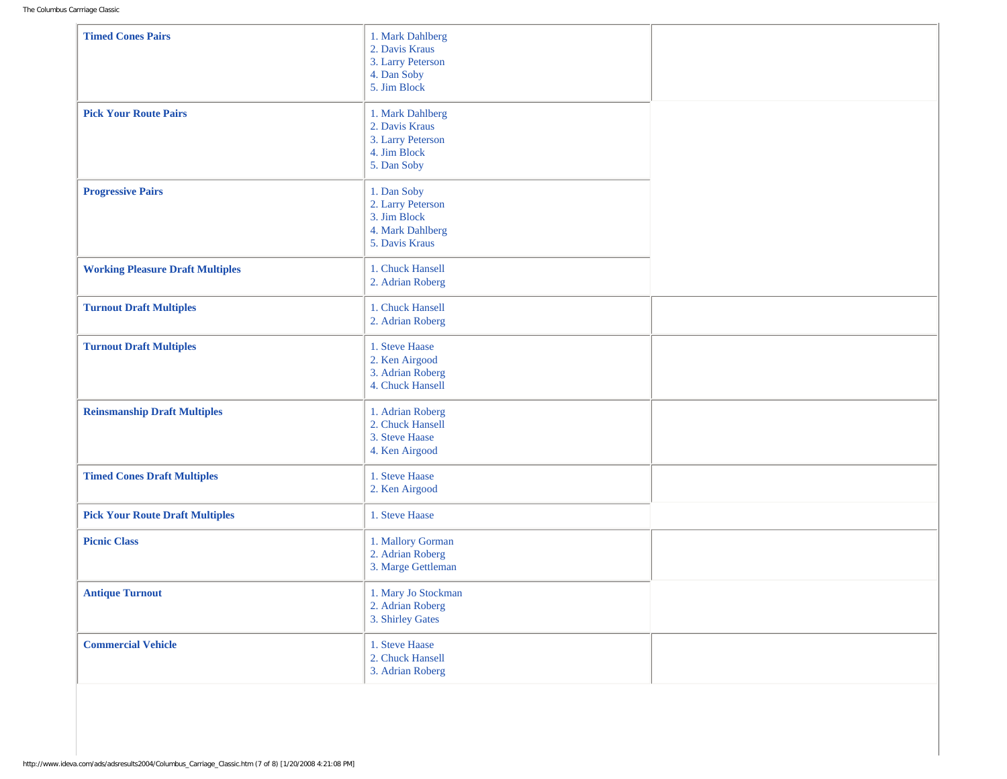| <b>Timed Cones Pairs</b>                | 1. Mark Dahlberg<br>2. Davis Kraus<br>3. Larry Peterson<br>4. Dan Soby<br>5. Jim Block |  |
|-----------------------------------------|----------------------------------------------------------------------------------------|--|
| <b>Pick Your Route Pairs</b>            | 1. Mark Dahlberg<br>2. Davis Kraus<br>3. Larry Peterson<br>4. Jim Block<br>5. Dan Soby |  |
| <b>Progressive Pairs</b>                | 1. Dan Soby<br>2. Larry Peterson<br>3. Jim Block<br>4. Mark Dahlberg<br>5. Davis Kraus |  |
| <b>Working Pleasure Draft Multiples</b> | 1. Chuck Hansell<br>2. Adrian Roberg                                                   |  |
| <b>Turnout Draft Multiples</b>          | 1. Chuck Hansell<br>2. Adrian Roberg                                                   |  |
| <b>Turnout Draft Multiples</b>          | 1. Steve Haase<br>2. Ken Airgood<br>3. Adrian Roberg<br>4. Chuck Hansell               |  |
| <b>Reinsmanship Draft Multiples</b>     | 1. Adrian Roberg<br>2. Chuck Hansell<br>3. Steve Haase<br>4. Ken Airgood               |  |
| <b>Timed Cones Draft Multiples</b>      | 1. Steve Haase<br>2. Ken Airgood                                                       |  |
| <b>Pick Your Route Draft Multiples</b>  | 1. Steve Haase                                                                         |  |
| <b>Picnic Class</b>                     | 1. Mallory Gorman<br>2. Adrian Roberg<br>3. Marge Gettleman                            |  |
| <b>Antique Turnout</b>                  | 1. Mary Jo Stockman<br>2. Adrian Roberg<br>3. Shirley Gates                            |  |
| <b>Commercial Vehicle</b>               | 1. Steve Haase<br>2. Chuck Hansell<br>3. Adrian Roberg                                 |  |